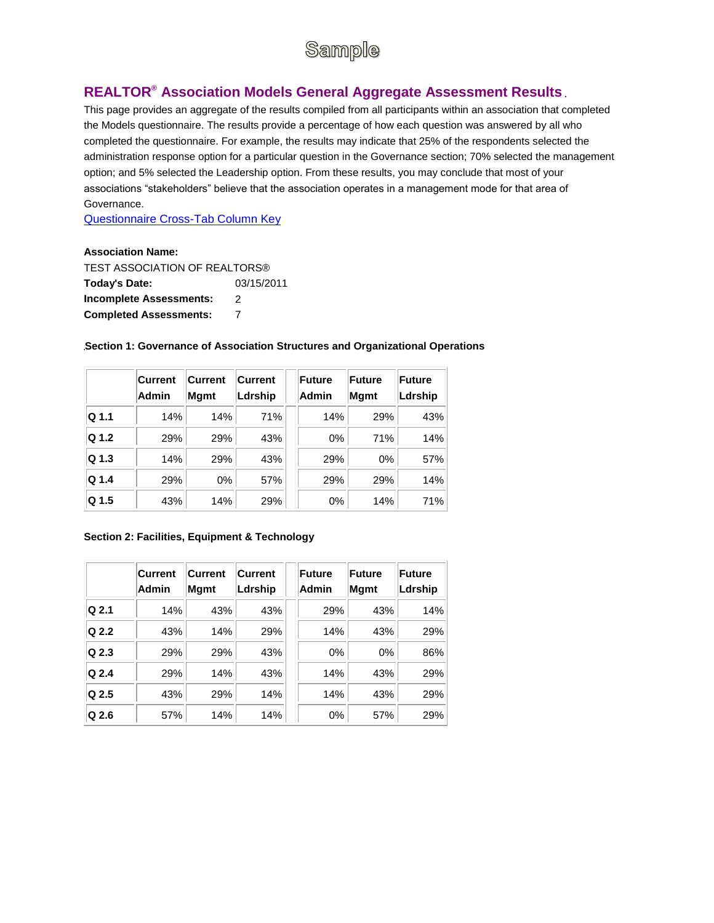# Sample

# **REALTOR® Association Models General Aggregate Assessment Results**

This page provides an aggregate of the results compiled from all participants within an association that completed the Models questionnaire. The results provide a percentage of how each question was answered by all who completed the questionnaire. For example, the results may indicate that 25% of the respondents selected the administration response option for a particular question in the Governance section; 70% selected the management option; and 5% selected the Leadership option. From these results, you may conclude that most of your associations "stakeholders" believe that the association operates in a management mode for that area of Governance.

[Questionnaire Cross-Tab Column Key](http://lnwebdev01.realtors.org/aecmodel.nsf/pages/crosstabkey?opendocument)

#### **Association Name:**

TEST ASSOCIATION OF REALTORS® **Today's Date:** 03/15/2011 **Incomplete Assessments:** 2 **Completed Assessments:** 7

|                  | Current<br><b>Admin</b> | <b>Current</b><br><b>M</b> qmt | <b>Current</b><br>Ldrship | Future<br>Admin |       | Future<br><b>M</b> qmt | Future<br>Ldrship |
|------------------|-------------------------|--------------------------------|---------------------------|-----------------|-------|------------------------|-------------------|
| Q <sub>1.1</sub> | 14%                     | 14%                            | 71%                       |                 | 14%   | 29%                    | 43%               |
| Q 1.2            | 29%                     | 29%                            | 43%                       |                 | $0\%$ | 71%                    | 14%               |
| Q 1.3            | 14%                     | 29%                            | 43%                       |                 | 29%   | $0\%$                  | 57%               |
| Q 1.4            | 29%                     | 0%                             | 57%                       |                 | 29%   | 29%                    | 14%               |
| Q 1.5            | 43%                     | 14%                            | 29%                       |                 | 0%    | 14%                    | 71%               |

#### **Section 1: Governance of Association Structures and Organizational Operations**

#### **Section 2: Facilities, Equipment & Technology**

|                  | Current<br><b>Admin</b> | <b>Current</b><br><b>Mgmt</b> | Current<br>Ldrship | Future<br>Admin | <b>Future</b><br><b>Mgmt</b> | <b>Future</b><br>Ldrship |
|------------------|-------------------------|-------------------------------|--------------------|-----------------|------------------------------|--------------------------|
| Q 2.1            | 14%                     | 43%                           | 43%                | 29%             | 43%                          | 14%                      |
| Q 2.2            | 43%                     | 14%                           | 29%                | 14%             | 43%                          | 29%                      |
| $Q$ 2.3          | 29%                     | 29%                           | 43%                | $0\%$           | $0\%$                        | 86%                      |
| Q 2.4            | 29%                     | 14%                           | 43%                | 14%             | 43%                          | 29%                      |
| Q 2.5            | 43%                     | 29%                           | 14%                | 14%             | 43%                          | 29%                      |
| Q <sub>2.6</sub> | 57%                     | 14%                           | 14%                | 0%              | 57%                          | 29%                      |